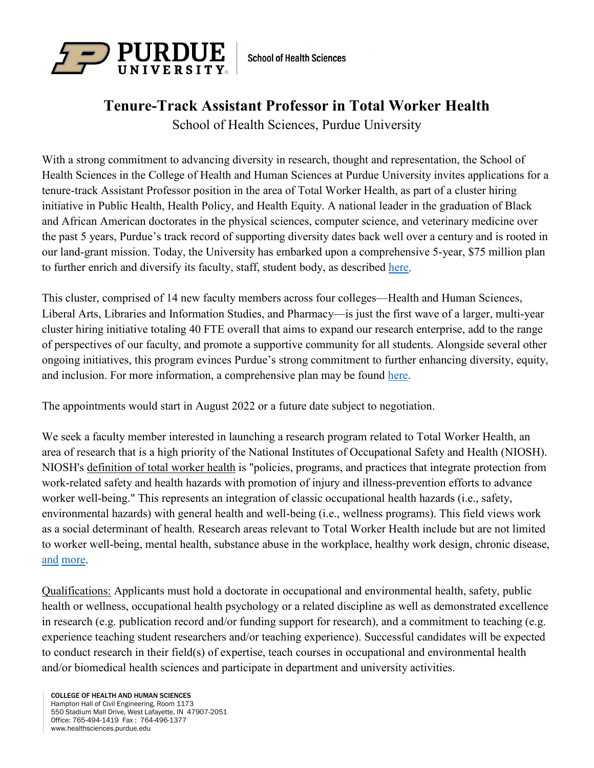

**School of Health Sciences** 

## **Tenure-Track Assistant Professor in Total Worker Health**

School of Health Sciences, Purdue University

With a strong commitment to advancing diversity in research, thought and representation, the School of Health Sciences in the College of Health and Human Sciences at Purdue University invites applications for a tenure-track Assistant Professor position in the area of Total Worker Health, as part of a cluster hiring initiative in Public Health, Health Policy, and Health Equity. A national leader in the graduation of Black and African American doctorates in the physical sciences, computer science, and veterinary medicine over the past 5 years, Purdue's track record of supporting diversity dates back well over a century and is rooted in our land-grant mission. Today, the University has embarked upon a comprehensive 5-year, \$75 million plan to further enrich and diversify its faculty, staff, student body, as described [here.](https://www.purdue.edu/provost/diversity/equity/cluster.html)

This cluster, comprised of 14 new faculty members across four colleges—Health and Human Sciences, Liberal Arts, Libraries and Information Studies, and Pharmacy—is just the first wave of a larger, multi-year cluster hiring initiative totaling 40 FTE overall that aims to expand our research enterprise, add to the range of perspectives of our faculty, and promote a supportive community for all students. Alongside several other ongoing initiatives, this program evinces Purdue's strong commitment to further enhancing diversity, equity, and inclusion. For more information, a comprehensive plan may be found [here.](https://www.purdue.edu/provost/diversity/equity/index.html)

The appointments would start in August 2022 or a future date subject to negotiation.

We seek a faculty member interested in launching a research program related to Total Worker Health, an area of research that is a high priority of the National Institutes of Occupational Safety and Health (NIOSH). NIOSH's [definition](https://www.cdc.gov/niosh/twh/totalhealth.html) of total worker health is "policies, programs, and practices that integrate protection from work-related safety and health hazards with promotion of injury and illness-prevention efforts to advance worker well-being." This represents an integration of classic occupational health hazards (i.e., safety, environmental hazards) with general health and well-being (i.e., wellness programs). This field views work as a social determinant of health. Research areas relevant to Total Worker Health include but are not limited to worker well-being, mental health, substance abuse in the workplace, healthy work design, chronic disease, [and](https://www.cdc.gov/niosh/twh/priority.html) [more.](https://www.cdc.gov/niosh/twh/pdfs/Issues-Graphic-2020_508.pdf)

Qualifications: Applicants must hold a doctorate in occupational and environmental health, safety, public health or wellness, occupational health psychology or a related discipline as well as demonstrated excellence in research (e.g. publication record and/or funding support for research), and a commitment to teaching (e.g. experience teaching student researchers and/or teaching experience). Successful candidates will be expected to conduct research in their field(s) of expertise, teach courses in occupational and environmental health and/or biomedical health sciences and participate in department and university activities.